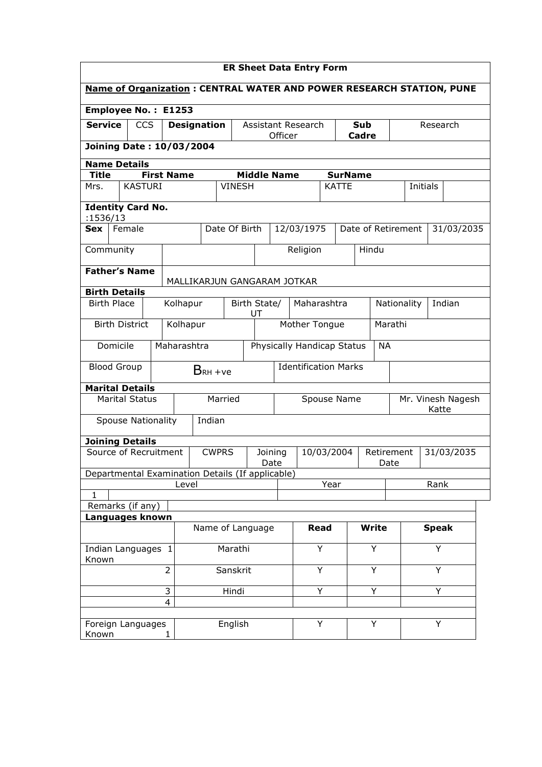| <b>ER Sheet Data Entry Form</b>                                             |                                 |                  |                    |                             |                    |                                 |                                           |                             |              |                    |                            |                       |          |            |            |  |
|-----------------------------------------------------------------------------|---------------------------------|------------------|--------------------|-----------------------------|--------------------|---------------------------------|-------------------------------------------|-----------------------------|--------------|--------------------|----------------------------|-----------------------|----------|------------|------------|--|
| <b>Name of Organization: CENTRAL WATER AND POWER RESEARCH STATION, PUNE</b> |                                 |                  |                    |                             |                    |                                 |                                           |                             |              |                    |                            |                       |          |            |            |  |
| Employee No.: E1253                                                         |                                 |                  |                    |                             |                    |                                 |                                           |                             |              |                    |                            |                       |          |            |            |  |
| <b>Service</b>                                                              | <b>CCS</b>                      |                  | <b>Designation</b> |                             |                    | Officer                         | <b>Assistant Research</b><br>Sub<br>Cadre |                             |              |                    |                            |                       | Research |            |            |  |
|                                                                             | Joining Date: 10/03/2004        |                  |                    |                             |                    |                                 |                                           |                             |              |                    |                            |                       |          |            |            |  |
| <b>Name Details</b>                                                         |                                 |                  |                    |                             |                    |                                 |                                           |                             |              |                    |                            |                       |          |            |            |  |
| <b>Middle Name</b><br><b>First Name</b><br><b>Title</b>                     |                                 |                  |                    |                             |                    |                                 | <b>SurName</b>                            |                             |              |                    |                            |                       |          |            |            |  |
| Mrs.                                                                        | <b>KASTURI</b><br><b>VINESH</b> |                  |                    |                             |                    | <b>KATTE</b><br><b>Initials</b> |                                           |                             |              |                    |                            |                       |          |            |            |  |
| <b>Identity Card No.</b><br>:1536/13                                        |                                 |                  |                    |                             |                    |                                 |                                           |                             |              |                    |                            |                       |          |            |            |  |
| Sex                                                                         | Female                          |                  |                    | Date Of Birth               |                    |                                 | 12/03/1975                                |                             |              | Date of Retirement |                            |                       |          |            | 31/03/2035 |  |
| Community                                                                   |                                 |                  |                    |                             |                    |                                 |                                           | Religion                    |              |                    | Hindu                      |                       |          |            |            |  |
|                                                                             |                                 |                  |                    |                             |                    |                                 |                                           |                             |              |                    |                            |                       |          |            |            |  |
| <b>Father's Name</b>                                                        |                                 |                  |                    | MALLIKARJUN GANGARAM JOTKAR |                    |                                 |                                           |                             |              |                    |                            |                       |          |            |            |  |
| <b>Birth Details</b>                                                        |                                 |                  |                    |                             |                    |                                 |                                           |                             |              |                    |                            |                       |          |            |            |  |
| <b>Birth Place</b><br>Kolhapur                                              |                                 |                  |                    |                             | Birth State/<br>UT |                                 |                                           | Maharashtra                 |              |                    |                            | Indian<br>Nationality |          |            |            |  |
| <b>Birth District</b><br>Kolhapur                                           |                                 |                  |                    |                             |                    |                                 |                                           | Mother Tongue               |              |                    | Marathi                    |                       |          |            |            |  |
| Maharashtra<br>Domicile                                                     |                                 |                  |                    |                             |                    |                                 |                                           | Physically Handicap Status  |              |                    | <b>NA</b>                  |                       |          |            |            |  |
| <b>Blood Group</b>                                                          |                                 |                  |                    | $BRH +ve$                   |                    |                                 |                                           | <b>Identification Marks</b> |              |                    |                            |                       |          |            |            |  |
| <b>Marital Details</b>                                                      |                                 |                  |                    |                             |                    |                                 |                                           |                             |              |                    |                            |                       |          |            |            |  |
| <b>Marital Status</b>                                                       |                                 |                  | Married            |                             |                    |                                 | Spouse Name                               |                             |              |                    | Mr. Vinesh Nagesh<br>Katte |                       |          |            |            |  |
| <b>Spouse Nationality</b>                                                   |                                 |                  |                    | Indian                      |                    |                                 |                                           |                             |              |                    |                            |                       |          |            |            |  |
| <b>Joining Details</b>                                                      |                                 |                  |                    |                             |                    |                                 |                                           |                             |              |                    |                            |                       |          |            |            |  |
| Source of Recruitment                                                       |                                 |                  |                    | <b>CWPRS</b>                | Joining<br>Date    |                                 |                                           | 10/03/2004                  |              |                    | Retirement<br>Date         |                       |          | 31/03/2035 |            |  |
| Departmental Examination Details (If applicable)                            |                                 |                  |                    |                             |                    |                                 |                                           |                             |              |                    |                            |                       |          |            |            |  |
| Level<br>1                                                                  |                                 |                  |                    |                             |                    |                                 | Year                                      |                             |              |                    | Rank                       |                       |          |            |            |  |
| Remarks (if any)                                                            |                                 |                  |                    |                             |                    |                                 |                                           |                             |              |                    |                            |                       |          |            |            |  |
| Languages known                                                             |                                 |                  |                    |                             |                    |                                 |                                           |                             |              |                    |                            |                       |          |            |            |  |
|                                                                             |                                 | Name of Language |                    |                             |                    | <b>Read</b>                     |                                           |                             | <b>Write</b> |                    | <b>Speak</b>               |                       |          |            |            |  |
| Indian Languages 1<br>Known                                                 |                                 |                  |                    | Marathi                     |                    |                                 | Υ                                         |                             | Y            |                    | Y                          |                       |          |            |            |  |
| $\overline{2}$                                                              |                                 |                  |                    | Sanskrit                    |                    |                                 |                                           | Y<br>Y                      |              |                    | Y                          |                       |          |            |            |  |
|                                                                             |                                 | 3                |                    |                             | Hindi              |                                 |                                           | Υ<br>Y                      |              |                    | Y                          |                       |          |            |            |  |
|                                                                             |                                 | $\overline{4}$   |                    |                             |                    |                                 |                                           |                             |              |                    |                            |                       |          |            |            |  |
| Foreign Languages<br>Known                                                  |                                 | $\mathbf{1}$     |                    |                             | English            |                                 |                                           | Y                           |              |                    | Y                          |                       | Y        |            |            |  |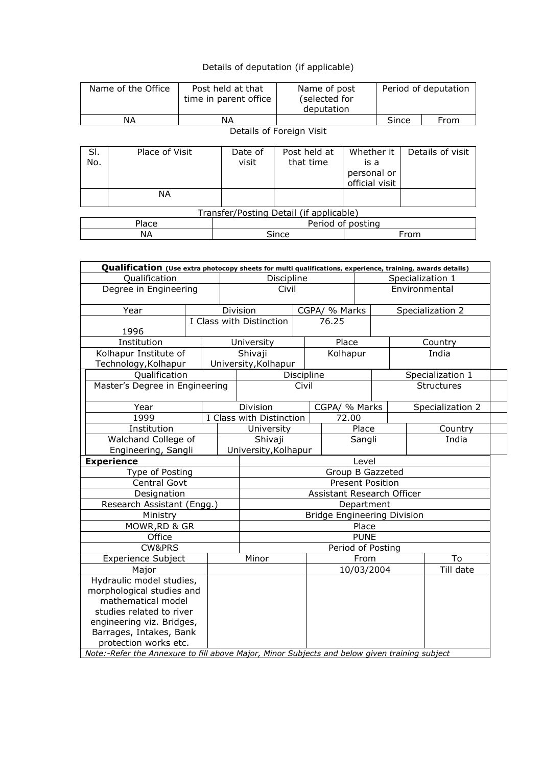| Details of deputation (if applicable) |
|---------------------------------------|
|---------------------------------------|

| Name of the Office                      |                |  | Post held at that<br>time in parent office | Name of post<br>(selected for<br>deputation |                                                     | Period of deputation |       |                  |  |
|-----------------------------------------|----------------|--|--------------------------------------------|---------------------------------------------|-----------------------------------------------------|----------------------|-------|------------------|--|
| NA.                                     |                |  | NА                                         |                                             |                                                     |                      | Since | From             |  |
| Details of Foreign Visit                |                |  |                                            |                                             |                                                     |                      |       |                  |  |
| SI.<br>No.                              | Place of Visit |  | Date of<br>visit                           | Post held at<br>that time                   | Whether it<br>is a<br>personal or<br>official visit |                      |       | Details of visit |  |
|                                         | ΝA             |  |                                            |                                             |                                                     |                      |       |                  |  |
| Transfer/Posting Detail (if applicable) |                |  |                                            |                                             |                                                     |                      |       |                  |  |
|                                         | Place          |  |                                            | Period of posting                           |                                                     |                      |       |                  |  |
|                                         | <b>NA</b>      |  |                                            | Since<br>From                               |                                                     |                      |       |                  |  |

٦

| Qualification (Use extra photocopy sheets for multi qualifications, experience, training, awards details) |                                    |  |                            |            |                  |                    |                  |       |                   |  |
|-----------------------------------------------------------------------------------------------------------|------------------------------------|--|----------------------------|------------|------------------|--------------------|------------------|-------|-------------------|--|
| Qualification                                                                                             |                                    |  | Discipline                 |            |                  |                    | Specialization 1 |       |                   |  |
| Degree in Engineering                                                                                     |                                    |  | Civil                      |            |                  | Environmental      |                  |       |                   |  |
| Year                                                                                                      |                                    |  | Division<br>CGPA/ % Marks  |            |                  | Specialization 2   |                  |       |                   |  |
|                                                                                                           | I Class with Distinction           |  |                            |            | 76.25            |                    |                  |       |                   |  |
| 1996<br>Institution                                                                                       |                                    |  | University                 |            | Place            |                    |                  |       | Country           |  |
| Kolhapur Institute of                                                                                     |                                    |  | Shivaji                    |            | Kolhapur         |                    |                  |       | India             |  |
| Technology, Kolhapur                                                                                      |                                    |  | University, Kolhapur       |            |                  |                    |                  |       |                   |  |
| Qualification                                                                                             |                                    |  |                            | Discipline |                  |                    |                  |       | Specialization 1  |  |
| Master's Degree in Engineering                                                                            |                                    |  |                            | Civil      |                  |                    |                  |       | <b>Structures</b> |  |
| Year                                                                                                      |                                    |  | Division                   |            | CGPA/ % Marks    |                    |                  |       | Specialization 2  |  |
| 1999                                                                                                      |                                    |  | I Class with Distinction   |            | 72.00            |                    |                  |       |                   |  |
| Institution                                                                                               |                                    |  | University                 |            |                  | Place              |                  |       | Country           |  |
| Walchand College of                                                                                       |                                    |  | Shivaji                    |            | Sangli           |                    |                  | India |                   |  |
| Engineering, Sangli                                                                                       |                                    |  | University, Kolhapur       |            |                  |                    |                  |       |                   |  |
| <b>Experience</b>                                                                                         |                                    |  |                            |            |                  | Level              |                  |       |                   |  |
| Type of Posting                                                                                           |                                    |  |                            |            | Group B Gazzeted |                    |                  |       |                   |  |
| Central Govt                                                                                              |                                    |  | <b>Present Position</b>    |            |                  |                    |                  |       |                   |  |
| Designation                                                                                               |                                    |  | Assistant Research Officer |            |                  |                    |                  |       |                   |  |
| Research Assistant (Engg.)                                                                                | Department                         |  |                            |            |                  |                    |                  |       |                   |  |
| Ministry                                                                                                  | <b>Bridge Engineering Division</b> |  |                            |            |                  |                    |                  |       |                   |  |
| MOWR, RD & GR                                                                                             | Place                              |  |                            |            |                  |                    |                  |       |                   |  |
| Office                                                                                                    | <b>PUNE</b>                        |  |                            |            |                  |                    |                  |       |                   |  |
| <b>CW&amp;PRS</b>                                                                                         |                                    |  | Period of Posting          |            |                  |                    |                  |       |                   |  |
| <b>Experience Subject</b>                                                                                 |                                    |  | Minor                      |            |                  | From<br>10/03/2004 |                  |       | To                |  |
| Major                                                                                                     |                                    |  |                            |            |                  |                    |                  |       | Till date         |  |
| Hydraulic model studies,                                                                                  |                                    |  |                            |            |                  |                    |                  |       |                   |  |
| morphological studies and                                                                                 |                                    |  |                            |            |                  |                    |                  |       |                   |  |
| mathematical model<br>studies related to river                                                            |                                    |  |                            |            |                  |                    |                  |       |                   |  |
| engineering viz. Bridges,                                                                                 |                                    |  |                            |            |                  |                    |                  |       |                   |  |
| Barrages, Intakes, Bank                                                                                   |                                    |  |                            |            |                  |                    |                  |       |                   |  |
| protection works etc.                                                                                     |                                    |  |                            |            |                  |                    |                  |       |                   |  |
| Note:-Refer the Annexure to fill above Major, Minor Subjects and below given training subject             |                                    |  |                            |            |                  |                    |                  |       |                   |  |